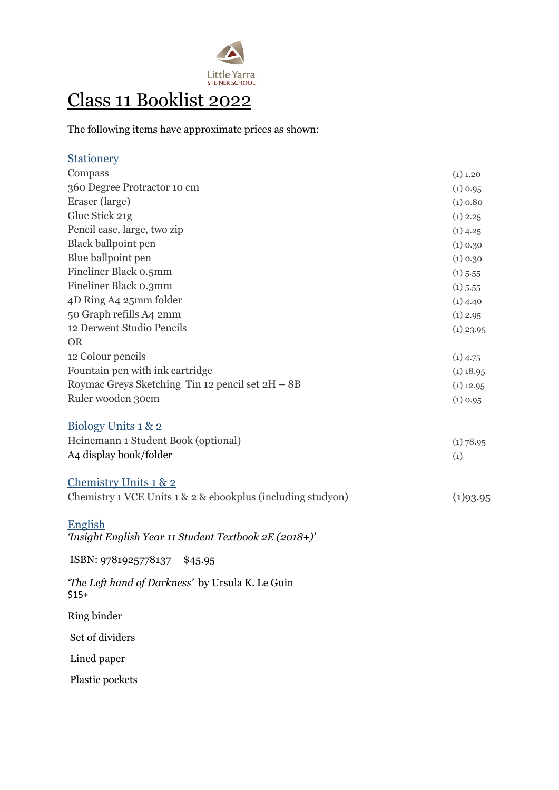

## Class 11 Booklist 2022

The following items have approximate prices as shown:

| <b>Stationery</b>                                           |             |
|-------------------------------------------------------------|-------------|
| Compass                                                     | $(1)$ 1.20  |
| 360 Degree Protractor 10 cm                                 | $(1)$ 0.95  |
| Eraser (large)                                              | (1) 0.80    |
| Glue Stick 21g                                              | $(1)$ 2.25  |
| Pencil case, large, two zip                                 | $(1)$ 4.25  |
| Black ballpoint pen                                         | (1) 0.30    |
| Blue ballpoint pen                                          | (1) 0.30    |
| Fineliner Black 0.5mm                                       | $(1)$ 5.55  |
| Fineliner Black o.3mm                                       | $(1)$ 5.55  |
| 4D Ring A4 25mm folder                                      | $(1)$ 4.40  |
| 50 Graph refills A4 2mm                                     | $(1)$ 2.95  |
| 12 Derwent Studio Pencils                                   | $(1)$ 23.95 |
| <b>OR</b>                                                   |             |
| 12 Colour pencils                                           | $(1)$ 4.75  |
| Fountain pen with ink cartridge                             | $(1)$ 18.95 |
| Roymac Greys Sketching Tin 12 pencil set 2H - 8B            | $(1)$ 12.95 |
| Ruler wooden 30cm                                           | $(1)$ 0.95  |
|                                                             |             |
| Biology Units 1 & 2                                         |             |
| Heinemann 1 Student Book (optional)                         | $(1)$ 78.95 |
| A4 display book/folder                                      | (1)         |
| Chemistry Units 1 & 2                                       |             |
|                                                             |             |
| Chemistry 1 VCE Units 1 & 2 & ebookplus (including studyon) | (1)93.95    |
| <b>English</b>                                              |             |
| 'Insight English Year 11 Student Textbook 2E (2018+)'       |             |
|                                                             |             |
| ISBN: 9781925778137<br>\$45.95                              |             |
| 'The Left hand of Darkness' by Ursula K. Le Guin            |             |
| $$15+$                                                      |             |
| Ring binder                                                 |             |
| Set of dividers                                             |             |
| Lined paper                                                 |             |
| Plastic pockets                                             |             |
|                                                             |             |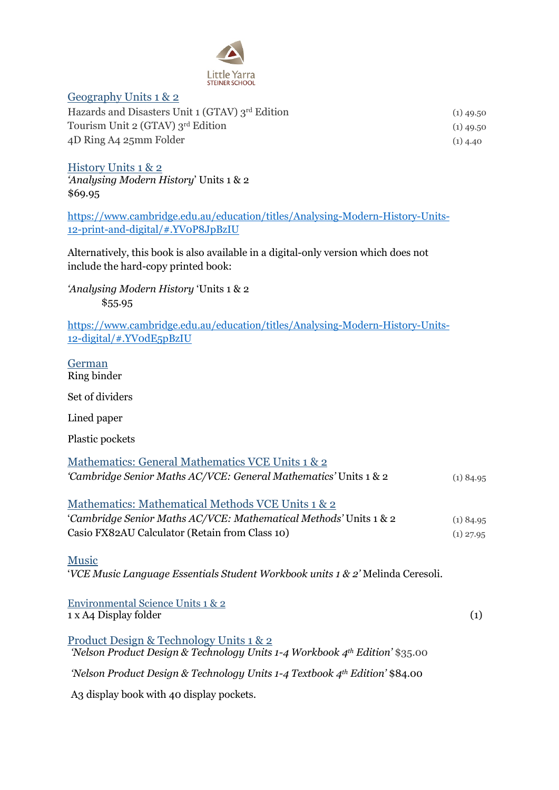

## Geography Units 1 & 2

| Hazards and Disasters Unit 1 (GTAV) 3rd Edition | $(1)$ 49.50 |
|-------------------------------------------------|-------------|
| Tourism Unit 2 (GTAV) 3rd Edition               | $(1)$ 49.50 |
| 4D Ring A4 25mm Folder                          | $(1)$ 4.40  |

History Units 1 & 2 *'Analysing Modern History*' Units 1 & 2 \$69.95

[https://www.cambridge.edu.au/education/titles/Analysing-Modern-History-Units-](https://www.cambridge.edu.au/education/titles/Analysing-Modern-History-Units-12-print-and-digital/#.YV0P8JpBzIU)[12-print-and-digital/#.YV0P8JpBzIU](https://www.cambridge.edu.au/education/titles/Analysing-Modern-History-Units-12-print-and-digital/#.YV0P8JpBzIU)

Alternatively, this book is also available in a digital-only version which does not include the hard-copy printed book:

*'Analysing Modern History* 'Units 1 & 2 \$55.95

[https://www.cambridge.edu.au/education/titles/Analysing-Modern-History-Units-](https://www.cambridge.edu.au/education/titles/Analysing-Modern-History-Units-12-digital/#.YV0dE5pBzIU)[12-digital/#.YV0dE5pBzIU](https://www.cambridge.edu.au/education/titles/Analysing-Modern-History-Units-12-digital/#.YV0dE5pBzIU)

German Ring binder

Set of dividers

Lined paper

Plastic pockets

| Mathematics: General Mathematics VCE Units 1 & 2                                         |             |
|------------------------------------------------------------------------------------------|-------------|
| 'Cambridge Senior Maths AC/VCE: General Mathematics' Units 1 & 2                         | $(1)$ 84.95 |
| Mathematics: Mathematical Methods VCE Units 1 & 2                                        |             |
| 'Cambridge Senior Maths AC/VCE: Mathematical Methods' Units 1 & 2                        | $(1)$ 84.95 |
| Casio FX82AU Calculator (Retain from Class 10)                                           | $(1)$ 27.95 |
| <b>Music</b>                                                                             |             |
| <i>VCE Music Language Essentials Student Workbook units 1 &amp; 2'</i> Melinda Ceresoli. |             |
|                                                                                          |             |

Environmental Science Units 1 & 2 1 x A4 Display folder (1) Product Design & Technology Units 1 & 2

*'Nelson Product Design & Technology Units 1-4 Workbook 4th Edition'* \$35.00

*'Nelson Product Design & Technology Units 1-4 Textbook 4th Edition'* \$84.00

A3 display book with 40 display pockets.